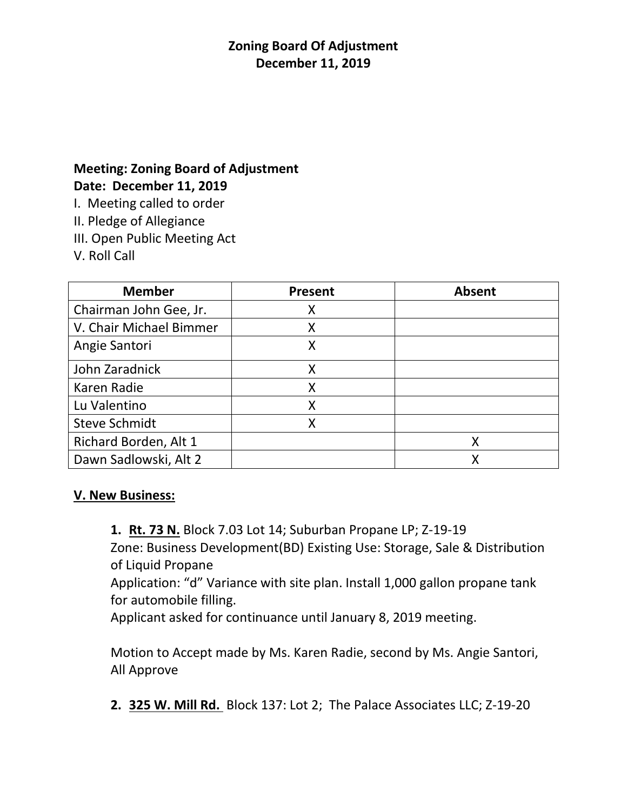### **Meeting: Zoning Board of Adjustment Date: December 11, 2019**

I. Meeting called to order

II. Pledge of Allegiance

III. Open Public Meeting Act

V. Roll Call

| <b>Member</b>           | Present | <b>Absent</b> |
|-------------------------|---------|---------------|
| Chairman John Gee, Jr.  | X       |               |
| V. Chair Michael Bimmer |         |               |
| Angie Santori           | Χ       |               |
| John Zaradnick          | X       |               |
| Karen Radie             | Χ       |               |
| Lu Valentino            | Χ       |               |
| <b>Steve Schmidt</b>    | Χ       |               |
| Richard Borden, Alt 1   |         |               |
| Dawn Sadlowski, Alt 2   |         |               |

#### **V. New Business:**

**1. Rt. 73 N.** Block 7.03 Lot 14; Suburban Propane LP; Z-19-19

Zone: Business Development(BD) Existing Use: Storage, Sale & Distribution of Liquid Propane

Application: "d" Variance with site plan. Install 1,000 gallon propane tank for automobile filling.

Applicant asked for continuance until January 8, 2019 meeting.

Motion to Accept made by Ms. Karen Radie, second by Ms. Angie Santori, All Approve

**2. 325 W. Mill Rd.** Block 137: Lot 2; The Palace Associates LLC; Z-19-20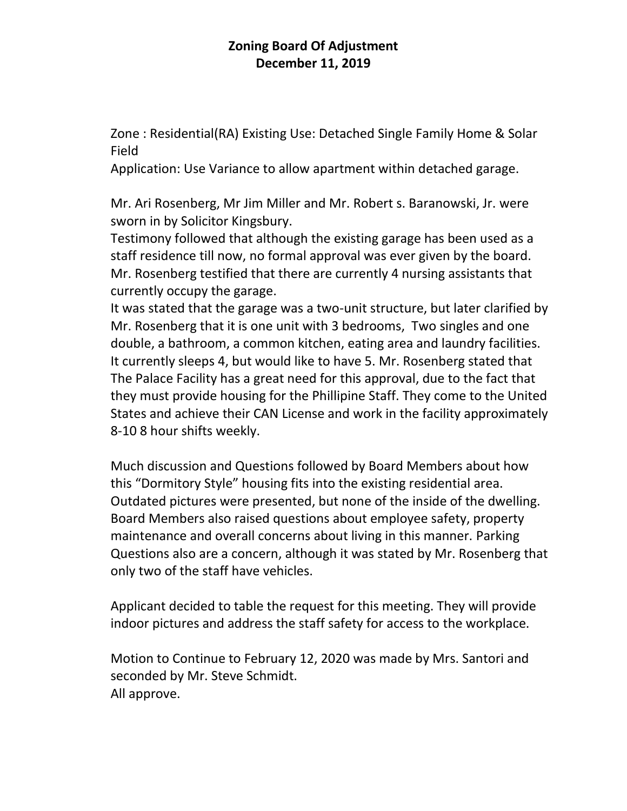Zone : Residential(RA) Existing Use: Detached Single Family Home & Solar Field

Application: Use Variance to allow apartment within detached garage.

Mr. Ari Rosenberg, Mr Jim Miller and Mr. Robert s. Baranowski, Jr. were sworn in by Solicitor Kingsbury.

Testimony followed that although the existing garage has been used as a staff residence till now, no formal approval was ever given by the board. Mr. Rosenberg testified that there are currently 4 nursing assistants that currently occupy the garage.

It was stated that the garage was a two-unit structure, but later clarified by Mr. Rosenberg that it is one unit with 3 bedrooms, Two singles and one double, a bathroom, a common kitchen, eating area and laundry facilities. It currently sleeps 4, but would like to have 5. Mr. Rosenberg stated that The Palace Facility has a great need for this approval, due to the fact that they must provide housing for the Phillipine Staff. They come to the United States and achieve their CAN License and work in the facility approximately 8-10 8 hour shifts weekly.

Much discussion and Questions followed by Board Members about how this "Dormitory Style" housing fits into the existing residential area. Outdated pictures were presented, but none of the inside of the dwelling. Board Members also raised questions about employee safety, property maintenance and overall concerns about living in this manner. Parking Questions also are a concern, although it was stated by Mr. Rosenberg that only two of the staff have vehicles.

Applicant decided to table the request for this meeting. They will provide indoor pictures and address the staff safety for access to the workplace.

Motion to Continue to February 12, 2020 was made by Mrs. Santori and seconded by Mr. Steve Schmidt. All approve.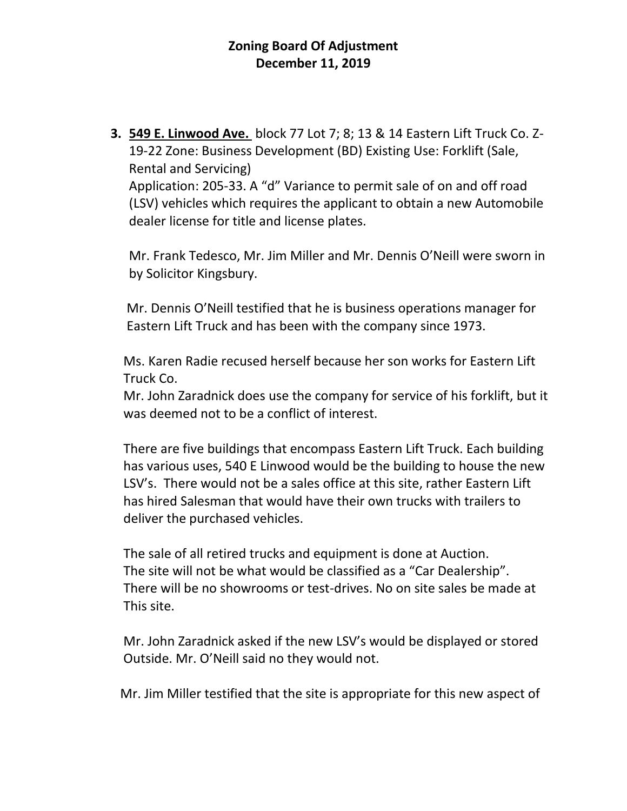**3. 549 E. Linwood Ave.** block 77 Lot 7; 8; 13 & 14 Eastern Lift Truck Co. Z-19-22 Zone: Business Development (BD) Existing Use: Forklift (Sale, Rental and Servicing) Application: 205-33. A "d" Variance to permit sale of on and off road (LSV) vehicles which requires the applicant to obtain a new Automobile dealer license for title and license plates.

Mr. Frank Tedesco, Mr. Jim Miller and Mr. Dennis O'Neill were sworn in by Solicitor Kingsbury.

 Mr. Dennis O'Neill testified that he is business operations manager for Eastern Lift Truck and has been with the company since 1973.

 Ms. Karen Radie recused herself because her son works for Eastern Lift Truck Co.

 Mr. John Zaradnick does use the company for service of his forklift, but it was deemed not to be a conflict of interest.

 There are five buildings that encompass Eastern Lift Truck. Each building has various uses, 540 E Linwood would be the building to house the new LSV's. There would not be a sales office at this site, rather Eastern Lift has hired Salesman that would have their own trucks with trailers to deliver the purchased vehicles.

 The sale of all retired trucks and equipment is done at Auction. The site will not be what would be classified as a "Car Dealership". There will be no showrooms or test-drives. No on site sales be made at This site.

 Mr. John Zaradnick asked if the new LSV's would be displayed or stored Outside. Mr. O'Neill said no they would not.

Mr. Jim Miller testified that the site is appropriate for this new aspect of